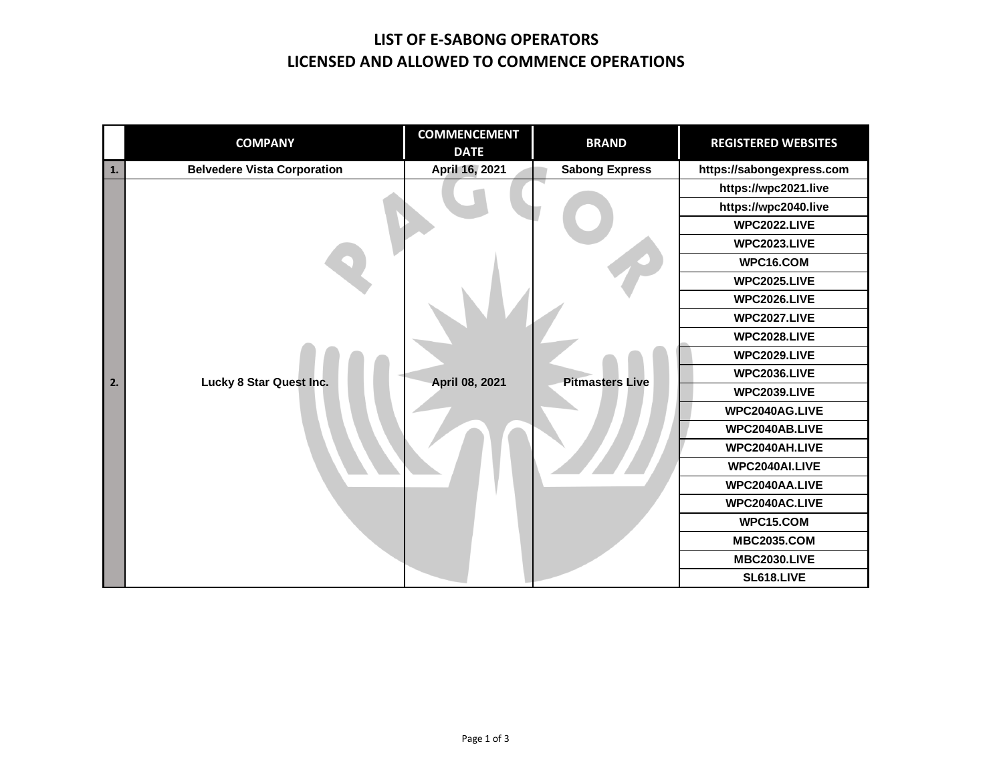## **LIST OF E-SABONG OPERATORS LICENSED AND ALLOWED TO COMMENCE OPERATIONS**

|    | <b>COMPANY</b>                     | <b>COMMENCEMENT</b><br><b>DATE</b> | <b>BRAND</b>           | <b>REGISTERED WEBSITES</b> |
|----|------------------------------------|------------------------------------|------------------------|----------------------------|
| 1. | <b>Belvedere Vista Corporation</b> | April 16, 2021                     | <b>Sabong Express</b>  | https://sabongexpress.com  |
|    |                                    |                                    |                        | https://wpc2021.live       |
|    |                                    |                                    |                        | https://wpc2040.live       |
|    |                                    |                                    |                        | <b>WPC2022.LIVE</b>        |
|    |                                    |                                    |                        | <b>WPC2023.LIVE</b>        |
|    |                                    |                                    |                        | WPC16.COM                  |
|    |                                    |                                    |                        | <b>WPC2025.LIVE</b>        |
|    |                                    |                                    |                        | <b>WPC2026.LIVE</b>        |
|    |                                    |                                    |                        | <b>WPC2027.LIVE</b>        |
|    |                                    |                                    |                        | <b>WPC2028.LIVE</b>        |
|    |                                    |                                    |                        | <b>WPC2029.LIVE</b>        |
| 2. | Lucky 8 Star Quest Inc.            | April 08, 2021                     | <b>Pitmasters Live</b> | <b>WPC2036.LIVE</b>        |
|    |                                    |                                    |                        | <b>WPC2039.LIVE</b>        |
|    |                                    |                                    |                        | WPC2040AG.LIVE             |
|    |                                    |                                    |                        | WPC2040AB.LIVE             |
|    |                                    |                                    |                        | WPC2040AH.LIVE             |
|    |                                    |                                    |                        | WPC2040AI.LIVE             |
|    |                                    |                                    |                        | WPC2040AA.LIVE             |
|    |                                    |                                    |                        | WPC2040AC.LIVE             |
|    |                                    |                                    |                        | WPC15.COM                  |
|    |                                    |                                    |                        | <b>MBC2035.COM</b>         |
|    |                                    |                                    |                        | <b>MBC2030.LIVE</b>        |
|    |                                    |                                    |                        | <b>SL618.LIVE</b>          |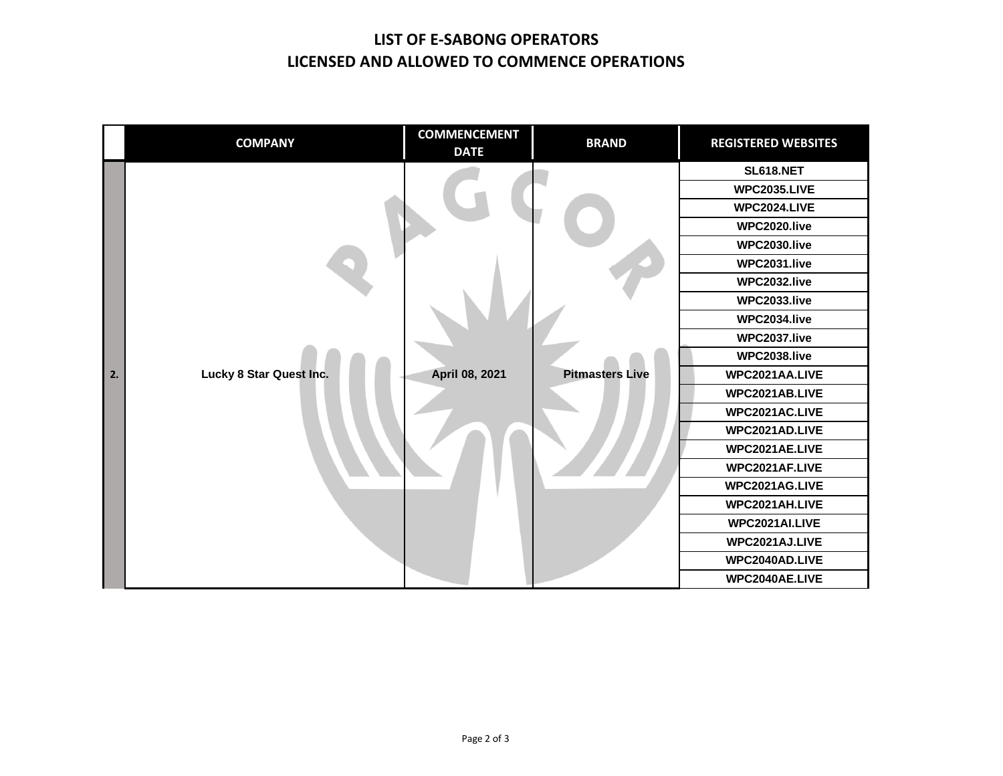## **LIST OF E-SABONG OPERATORS LICENSED AND ALLOWED TO COMMENCE OPERATIONS**

|    | <b>COMPANY</b>          | <b>COMMENCEMENT</b><br><b>DATE</b> | <b>BRAND</b>           | <b>REGISTERED WEBSITES</b> |
|----|-------------------------|------------------------------------|------------------------|----------------------------|
|    |                         |                                    |                        | <b>SL618.NET</b>           |
|    |                         |                                    |                        | <b>WPC2035.LIVE</b>        |
|    |                         |                                    |                        | <b>WPC2024.LIVE</b>        |
|    |                         |                                    |                        | WPC2020.live               |
|    |                         |                                    |                        | WPC2030.live               |
|    |                         |                                    |                        | WPC2031.live               |
|    |                         |                                    |                        | WPC2032.live               |
|    |                         |                                    |                        | WPC2033.live               |
|    |                         |                                    |                        | WPC2034.live               |
|    |                         |                                    |                        | WPC2037.live               |
|    |                         |                                    |                        | WPC2038.live               |
| 2. | Lucky 8 Star Quest Inc. | April 08, 2021                     | <b>Pitmasters Live</b> | WPC2021AA.LIVE             |
|    |                         |                                    |                        | WPC2021AB.LIVE             |
|    |                         |                                    |                        | WPC2021AC.LIVE             |
|    |                         |                                    |                        | WPC2021AD.LIVE             |
|    |                         |                                    |                        | WPC2021AE.LIVE             |
|    |                         |                                    |                        | WPC2021AF.LIVE             |
|    |                         |                                    |                        | WPC2021AG.LIVE             |
|    |                         |                                    |                        | WPC2021AH.LIVE             |
|    |                         |                                    |                        | WPC2021AI.LIVE             |
|    |                         |                                    |                        | WPC2021AJ.LIVE             |
|    |                         |                                    |                        | WPC2040AD.LIVE             |
|    |                         |                                    |                        | WPC2040AE.LIVE             |